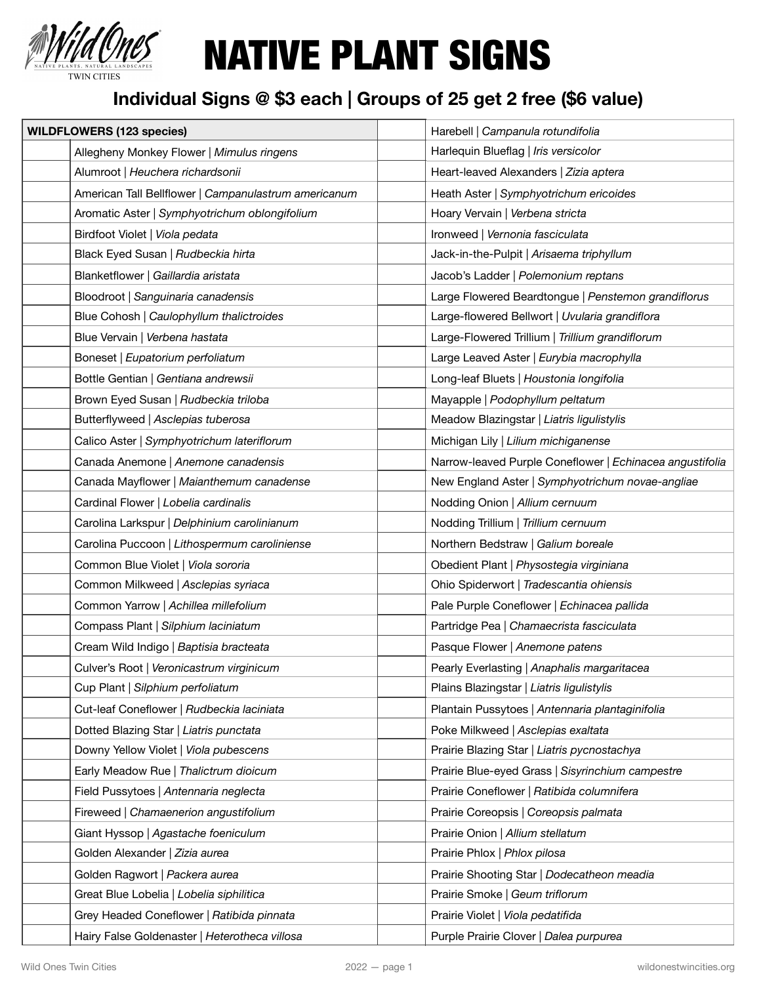

## NATIVE PLANT SIGNS

## **Individual Signs @ \$3 each | Groups of 25 get 2 free (\$6 value)**

| <b>WILDFLOWERS (123 species)</b>                     | Harebell   Campanula rotundifolia                        |
|------------------------------------------------------|----------------------------------------------------------|
| Allegheny Monkey Flower   Mimulus ringens            | Harlequin Blueflag   Iris versicolor                     |
| Alumroot   Heuchera richardsonii                     | Heart-leaved Alexanders   Zizia aptera                   |
| American Tall Bellflower   Campanulastrum americanum | Heath Aster   Symphyotrichum ericoides                   |
| Aromatic Aster   Symphyotrichum oblongifolium        | Hoary Vervain   Verbena stricta                          |
| Birdfoot Violet   Viola pedata                       | Ironweed   Vernonia fasciculata                          |
| Black Eyed Susan   Rudbeckia hirta                   | Jack-in-the-Pulpit   Arisaema triphyllum                 |
| Blanketflower   Gaillardia aristata                  | Jacob's Ladder   Polemonium reptans                      |
| Bloodroot   Sanguinaria canadensis                   | Large Flowered Beardtongue   Penstemon grandiflorus      |
| Blue Cohosh   Caulophyllum thalictroides             | Large-flowered Bellwort   Uvularia grandiflora           |
| Blue Vervain   Verbena hastata                       | Large-Flowered Trillium   Trillium grandiflorum          |
| Boneset   Eupatorium perfoliatum                     | Large Leaved Aster   Eurybia macrophylla                 |
| Bottle Gentian   Gentiana andrewsii                  | Long-leaf Bluets   Houstonia longifolia                  |
| Brown Eyed Susan   Rudbeckia triloba                 | Mayapple   Podophyllum peltatum                          |
| Butterflyweed   Asclepias tuberosa                   | Meadow Blazingstar   Liatris ligulistylis                |
| Calico Aster   Symphyotrichum lateriflorum           | Michigan Lily   Lilium michiganense                      |
| Canada Anemone   Anemone canadensis                  | Narrow-leaved Purple Coneflower   Echinacea angustifolia |
| Canada Mayflower   Maianthemum canadense             | New England Aster   Symphyotrichum novae-angliae         |
| Cardinal Flower   Lobelia cardinalis                 | Nodding Onion   Allium cernuum                           |
| Carolina Larkspur   Delphinium carolinianum          | Nodding Trillium   Trillium cernuum                      |
| Carolina Puccoon   Lithospermum caroliniense         | Northern Bedstraw   Galium boreale                       |
| Common Blue Violet   Viola sororia                   | Obedient Plant   Physostegia virginiana                  |
| Common Milkweed   Asclepias syriaca                  | Ohio Spiderwort   Tradescantia ohiensis                  |
| Common Yarrow   Achillea millefolium                 | Pale Purple Coneflower   Echinacea pallida               |
| Compass Plant   Silphium laciniatum                  | Partridge Pea   Chamaecrista fasciculata                 |
| Cream Wild Indigo   Baptisia bracteata               | Pasque Flower   Anemone patens                           |
| Culver's Root   Veronicastrum virginicum             | Pearly Everlasting   Anaphalis margaritacea              |
| Cup Plant   Silphium perfoliatum                     | Plains Blazingstar   Liatris ligulistylis                |
| Cut-leaf Coneflower   Rudbeckia laciniata            | Plantain Pussytoes   Antennaria plantaginifolia          |
| Dotted Blazing Star   Liatris punctata               | Poke Milkweed   Asclepias exaltata                       |
| Downy Yellow Violet   Viola pubescens                | Prairie Blazing Star   Liatris pycnostachya              |
| Early Meadow Rue   Thalictrum dioicum                | Prairie Blue-eyed Grass   Sisyrinchium campestre         |
| Field Pussytoes   Antennaria neglecta                | Prairie Coneflower   Ratibida columnifera                |
| Fireweed   Chamaenerion angustifolium                | Prairie Coreopsis   Coreopsis palmata                    |
| Giant Hyssop   Agastache foeniculum                  | Prairie Onion   Allium stellatum                         |
| Golden Alexander   Zizia aurea                       | Prairie Phlox   Phlox pilosa                             |
| Golden Ragwort   Packera aurea                       | Prairie Shooting Star   Dodecatheon meadia               |
| Great Blue Lobelia   Lobelia siphilitica             | Prairie Smoke   Geum triflorum                           |
| Grey Headed Coneflower   Ratibida pinnata            | Prairie Violet   Viola pedatifida                        |
| Hairy False Goldenaster   Heterotheca villosa        | Purple Prairie Clover   Dalea purpurea                   |